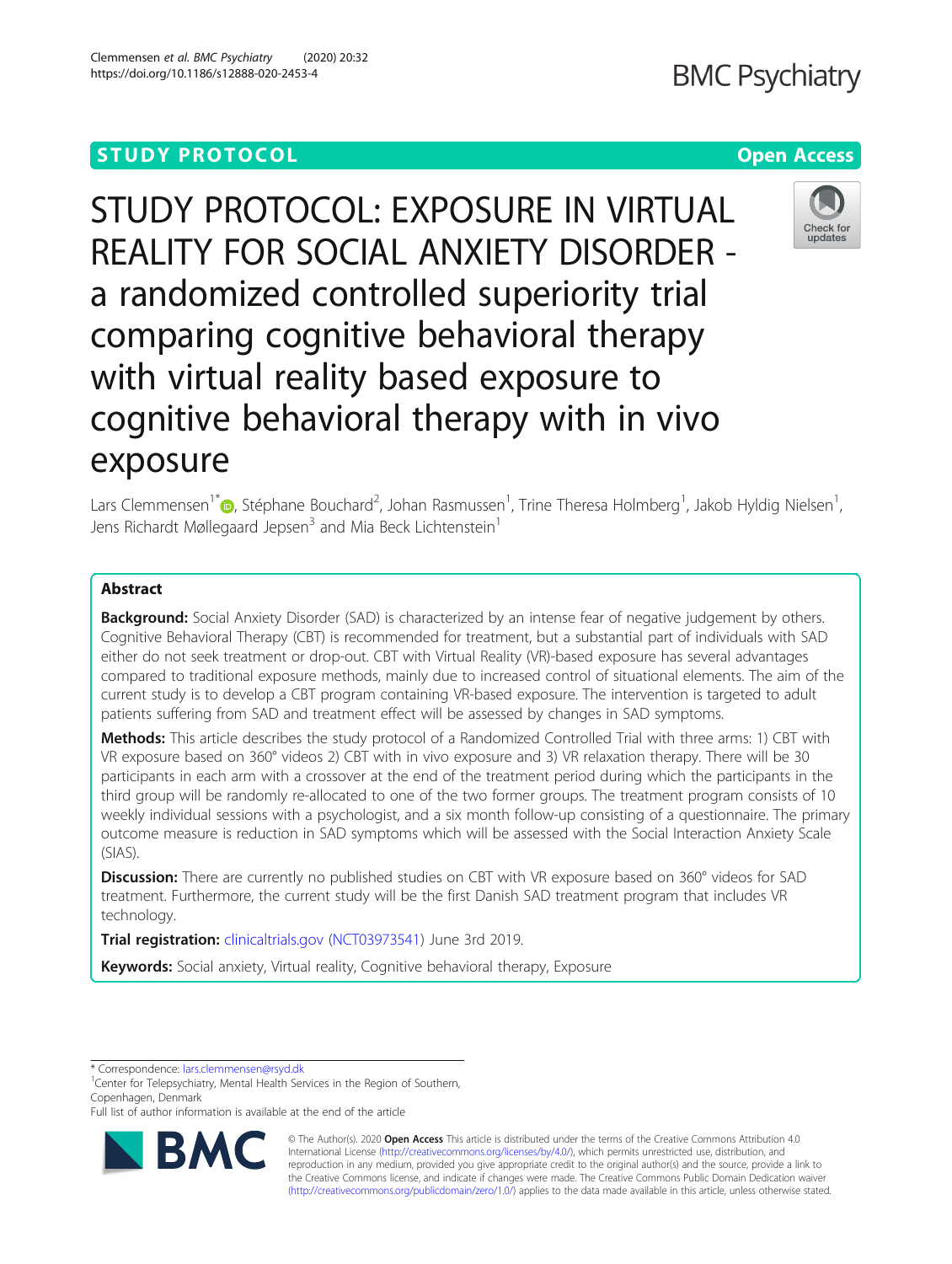STUDY PROTOCOL: EXPOSURE IN VIRTUAL REALITY FOR SOCIAL ANXIETY DISORDER a randomized controlled superiority trial comparing cognitive behavioral therapy with virtual reality based exposure to cognitive behavioral therapy with in vivo exposure

Lars Clemmensen<sup>1\*</sup> D[,](http://orcid.org/0000-0002-1750-4649) Stéphane Bouchard<sup>2</sup>, Johan Rasmussen<sup>1</sup>, Trine Theresa Holmberg<sup>1</sup>, Jakob Hyldig Nielsen<sup>1</sup> , Jens Richardt Møllegaard Jepsen<sup>3</sup> and Mia Beck Lichtenstein<sup>1</sup>

# Abstract

Background: Social Anxiety Disorder (SAD) is characterized by an intense fear of negative judgement by others. Cognitive Behavioral Therapy (CBT) is recommended for treatment, but a substantial part of individuals with SAD either do not seek treatment or drop-out. CBT with Virtual Reality (VR)-based exposure has several advantages compared to traditional exposure methods, mainly due to increased control of situational elements. The aim of the current study is to develop a CBT program containing VR-based exposure. The intervention is targeted to adult patients suffering from SAD and treatment effect will be assessed by changes in SAD symptoms.

Methods: This article describes the study protocol of a Randomized Controlled Trial with three arms: 1) CBT with VR exposure based on 360° videos 2) CBT with in vivo exposure and 3) VR relaxation therapy. There will be 30 participants in each arm with a crossover at the end of the treatment period during which the participants in the third group will be randomly re-allocated to one of the two former groups. The treatment program consists of 10 weekly individual sessions with a psychologist, and a six month follow-up consisting of a questionnaire. The primary outcome measure is reduction in SAD symptoms which will be assessed with the Social Interaction Anxiety Scale (SIAS).

**Discussion:** There are currently no published studies on CBT with VR exposure based on 360° videos for SAD treatment. Furthermore, the current study will be the first Danish SAD treatment program that includes VR technology.

Trial registration: [clinicaltrials.gov](http://clinicaltrials.gov) [\(NCT03973541](https://clinicaltrials.gov/ct2/show/NCT03973541)) June 3rd 2019.

Keywords: Social anxiety, Virtual reality, Cognitive behavioral therapy, Exposure

\* Correspondence: [lars.clemmensen@rsyd.dk](mailto:lars.clemmensen@rsyd.dk) <sup>1</sup>

<sup>1</sup>Center for Telepsychiatry, Mental Health Services in the Region of Southern, Copenhagen, Denmark

Full list of author information is available at the end of the article



© The Author(s). 2020 **Open Access** This article is distributed under the terms of the Creative Commons Attribution 4.0 International License [\(http://creativecommons.org/licenses/by/4.0/](http://creativecommons.org/licenses/by/4.0/)), which permits unrestricted use, distribution, and reproduction in any medium, provided you give appropriate credit to the original author(s) and the source, provide a link to the Creative Commons license, and indicate if changes were made. The Creative Commons Public Domain Dedication waiver [\(http://creativecommons.org/publicdomain/zero/1.0/](http://creativecommons.org/publicdomain/zero/1.0/)) applies to the data made available in this article, unless otherwise stated.



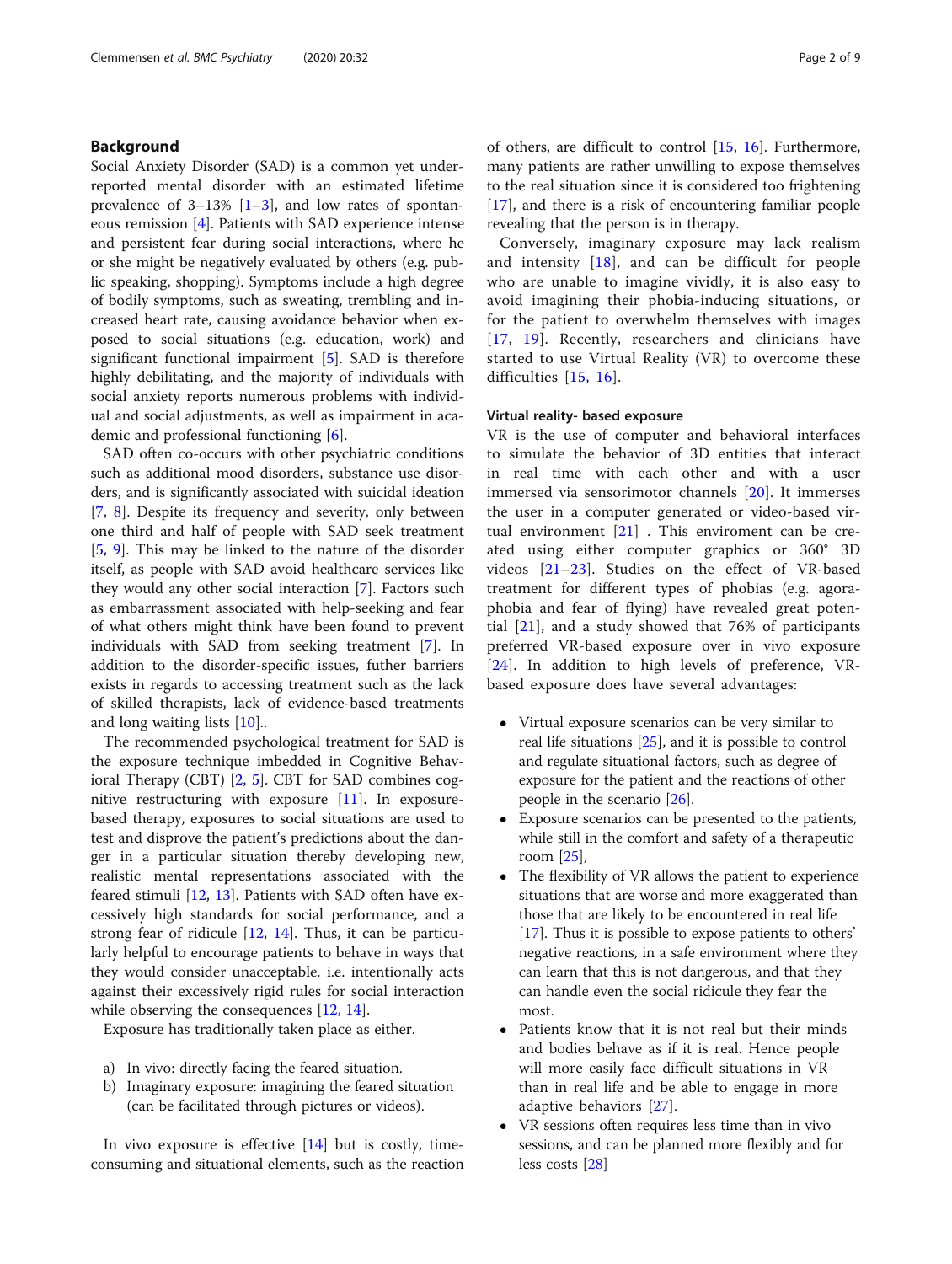# Background

Social Anxiety Disorder (SAD) is a common yet underreported mental disorder with an estimated lifetime prevalence of  $3-13\%$  $3-13\%$  $3-13\%$   $[1-3]$  $[1-3]$ , and low rates of spontaneous remission [[4\]](#page-7-0). Patients with SAD experience intense and persistent fear during social interactions, where he or she might be negatively evaluated by others (e.g. public speaking, shopping). Symptoms include a high degree of bodily symptoms, such as sweating, trembling and increased heart rate, causing avoidance behavior when exposed to social situations (e.g. education, work) and significant functional impairment [\[5](#page-7-0)]. SAD is therefore highly debilitating, and the majority of individuals with social anxiety reports numerous problems with individual and social adjustments, as well as impairment in academic and professional functioning [\[6](#page-7-0)].

SAD often co-occurs with other psychiatric conditions such as additional mood disorders, substance use disorders, and is significantly associated with suicidal ideation [[7,](#page-7-0) [8](#page-7-0)]. Despite its frequency and severity, only between one third and half of people with SAD seek treatment [[5,](#page-7-0) [9\]](#page-7-0). This may be linked to the nature of the disorder itself, as people with SAD avoid healthcare services like they would any other social interaction [\[7](#page-7-0)]. Factors such as embarrassment associated with help-seeking and fear of what others might think have been found to prevent individuals with SAD from seeking treatment [[7\]](#page-7-0). In addition to the disorder-specific issues, futher barriers exists in regards to accessing treatment such as the lack of skilled therapists, lack of evidence-based treatments and long waiting lists [[10\]](#page-7-0)..

The recommended psychological treatment for SAD is the exposure technique imbedded in Cognitive Behavioral Therapy (CBT) [\[2](#page-7-0), [5](#page-7-0)]. CBT for SAD combines cognitive restructuring with exposure [\[11](#page-7-0)]. In exposurebased therapy, exposures to social situations are used to test and disprove the patient's predictions about the danger in a particular situation thereby developing new, realistic mental representations associated with the feared stimuli [\[12](#page-7-0), [13](#page-7-0)]. Patients with SAD often have excessively high standards for social performance, and a strong fear of ridicule [\[12](#page-7-0), [14\]](#page-7-0). Thus, it can be particularly helpful to encourage patients to behave in ways that they would consider unacceptable. i.e. intentionally acts against their excessively rigid rules for social interaction while observing the consequences [\[12](#page-7-0), [14](#page-7-0)].

Exposure has traditionally taken place as either.

- a) In vivo: directly facing the feared situation.
- b) Imaginary exposure: imagining the feared situation (can be facilitated through pictures or videos).

In vivo exposure is effective  $[14]$  $[14]$  but is costly, timeconsuming and situational elements, such as the reaction of others, are difficult to control [\[15](#page-7-0), [16](#page-7-0)]. Furthermore, many patients are rather unwilling to expose themselves to the real situation since it is considered too frightening [[17\]](#page-7-0), and there is a risk of encountering familiar people revealing that the person is in therapy.

Conversely, imaginary exposure may lack realism and intensity [\[18\]](#page-7-0), and can be difficult for people who are unable to imagine vividly, it is also easy to avoid imagining their phobia-inducing situations, or for the patient to overwhelm themselves with images [[17](#page-7-0), [19\]](#page-7-0). Recently, researchers and clinicians have started to use Virtual Reality (VR) to overcome these difficulties [[15,](#page-7-0) [16](#page-7-0)].

## Virtual reality- based exposure

VR is the use of computer and behavioral interfaces to simulate the behavior of 3D entities that interact in real time with each other and with a user immersed via sensorimotor channels [[20\]](#page-7-0). It immerses the user in a computer generated or video-based virtual environment [[21\]](#page-7-0) . This enviroment can be created using either computer graphics or 360° 3D videos [[21](#page-7-0)–[23](#page-7-0)]. Studies on the effect of VR-based treatment for different types of phobias (e.g. agoraphobia and fear of flying) have revealed great potential  $[21]$  $[21]$ , and a study showed that 76% of participants preferred VR-based exposure over in vivo exposure [[24\]](#page-7-0). In addition to high levels of preference, VRbased exposure does have several advantages:

- Virtual exposure scenarios can be very similar to real life situations [[25](#page-7-0)], and it is possible to control and regulate situational factors, such as degree of exposure for the patient and the reactions of other people in the scenario [[26](#page-7-0)].
- Exposure scenarios can be presented to the patients, while still in the comfort and safety of a therapeutic room [[25](#page-7-0)],
- The flexibility of VR allows the patient to experience situations that are worse and more exaggerated than those that are likely to be encountered in real life [[17](#page-7-0)]. Thus it is possible to expose patients to others' negative reactions, in a safe environment where they can learn that this is not dangerous, and that they can handle even the social ridicule they fear the most.
- Patients know that it is not real but their minds and bodies behave as if it is real. Hence people will more easily face difficult situations in VR than in real life and be able to engage in more adaptive behaviors [[27\]](#page-7-0).
- VR sessions often requires less time than in vivo sessions, and can be planned more flexibly and for less costs [[28](#page-7-0)]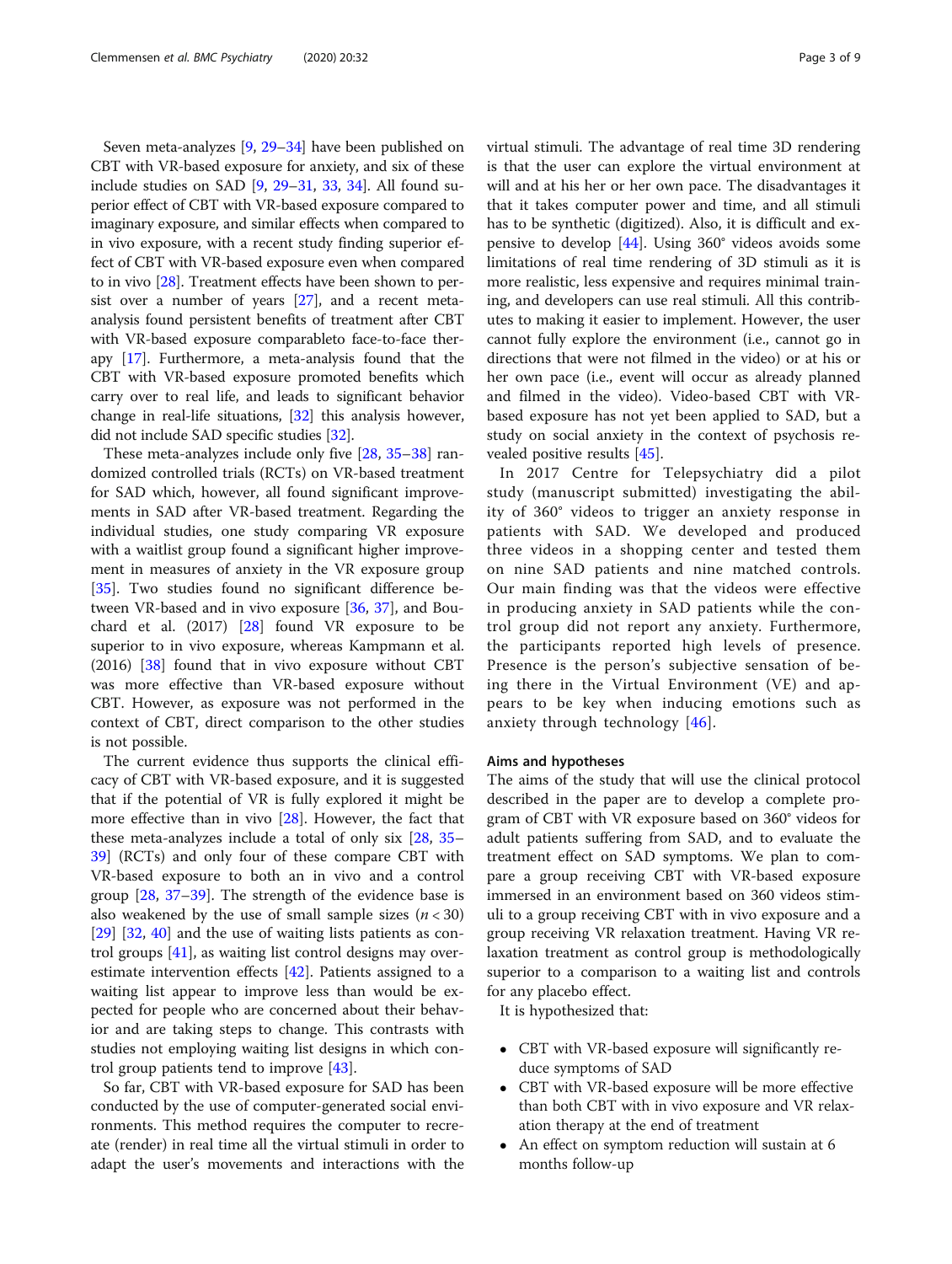Seven meta-analyzes [[9](#page-7-0), [29](#page-7-0)–[34\]](#page-7-0) have been published on CBT with VR-based exposure for anxiety, and six of these include studies on SAD [\[9](#page-7-0), [29](#page-7-0)–[31,](#page-7-0) [33](#page-7-0), [34\]](#page-7-0). All found superior effect of CBT with VR-based exposure compared to imaginary exposure, and similar effects when compared to in vivo exposure, with a recent study finding superior effect of CBT with VR-based exposure even when compared to in vivo [\[28](#page-7-0)]. Treatment effects have been shown to persist over a number of years [[27](#page-7-0)], and a recent metaanalysis found persistent benefits of treatment after CBT with VR-based exposure comparableto face-to-face therapy [\[17\]](#page-7-0). Furthermore, a meta-analysis found that the CBT with VR-based exposure promoted benefits which carry over to real life, and leads to significant behavior change in real-life situations, [[32](#page-7-0)] this analysis however, did not include SAD specific studies [[32\]](#page-7-0).

These meta-analyzes include only five [[28](#page-7-0), [35](#page-7-0)–[38](#page-8-0)] randomized controlled trials (RCTs) on VR-based treatment for SAD which, however, all found significant improvements in SAD after VR-based treatment. Regarding the individual studies, one study comparing VR exposure with a waitlist group found a significant higher improvement in measures of anxiety in the VR exposure group [[35\]](#page-7-0). Two studies found no significant difference between VR-based and in vivo exposure [[36,](#page-7-0) [37\]](#page-8-0), and Bouchard et al. (2017) [[28](#page-7-0)] found VR exposure to be superior to in vivo exposure, whereas Kampmann et al. (2016) [[38\]](#page-8-0) found that in vivo exposure without CBT was more effective than VR-based exposure without CBT. However, as exposure was not performed in the context of CBT, direct comparison to the other studies is not possible.

The current evidence thus supports the clinical efficacy of CBT with VR-based exposure, and it is suggested that if the potential of VR is fully explored it might be more effective than in vivo [\[28](#page-7-0)]. However, the fact that these meta-analyzes include a total of only six [[28,](#page-7-0) [35](#page-7-0)– [39\]](#page-8-0) (RCTs) and only four of these compare CBT with VR-based exposure to both an in vivo and a control group [[28](#page-7-0), [37](#page-8-0)–[39\]](#page-8-0). The strength of the evidence base is also weakened by the use of small sample sizes  $(n < 30)$ [[29\]](#page-7-0) [\[32](#page-7-0), [40](#page-8-0)] and the use of waiting lists patients as control groups [[41\]](#page-8-0), as waiting list control designs may overestimate intervention effects [[42\]](#page-8-0). Patients assigned to a waiting list appear to improve less than would be expected for people who are concerned about their behavior and are taking steps to change. This contrasts with studies not employing waiting list designs in which control group patients tend to improve [\[43](#page-8-0)].

So far, CBT with VR-based exposure for SAD has been conducted by the use of computer-generated social environments. This method requires the computer to recreate (render) in real time all the virtual stimuli in order to adapt the user's movements and interactions with the virtual stimuli. The advantage of real time 3D rendering is that the user can explore the virtual environment at will and at his her or her own pace. The disadvantages it that it takes computer power and time, and all stimuli has to be synthetic (digitized). Also, it is difficult and expensive to develop [[44\]](#page-8-0). Using 360° videos avoids some limitations of real time rendering of 3D stimuli as it is more realistic, less expensive and requires minimal training, and developers can use real stimuli. All this contributes to making it easier to implement. However, the user cannot fully explore the environment (i.e., cannot go in directions that were not filmed in the video) or at his or her own pace (i.e., event will occur as already planned and filmed in the video). Video-based CBT with VRbased exposure has not yet been applied to SAD, but a study on social anxiety in the context of psychosis revealed positive results [\[45](#page-8-0)].

In 2017 Centre for Telepsychiatry did a pilot study (manuscript submitted) investigating the ability of 360° videos to trigger an anxiety response in patients with SAD. We developed and produced three videos in a shopping center and tested them on nine SAD patients and nine matched controls. Our main finding was that the videos were effective in producing anxiety in SAD patients while the control group did not report any anxiety. Furthermore, the participants reported high levels of presence. Presence is the person's subjective sensation of being there in the Virtual Environment (VE) and appears to be key when inducing emotions such as anxiety through technology [[46\]](#page-8-0).

## Aims and hypotheses

The aims of the study that will use the clinical protocol described in the paper are to develop a complete program of CBT with VR exposure based on 360° videos for adult patients suffering from SAD, and to evaluate the treatment effect on SAD symptoms. We plan to compare a group receiving CBT with VR-based exposure immersed in an environment based on 360 videos stimuli to a group receiving CBT with in vivo exposure and a group receiving VR relaxation treatment. Having VR relaxation treatment as control group is methodologically superior to a comparison to a waiting list and controls for any placebo effect.

It is hypothesized that:

- CBT with VR-based exposure will significantly reduce symptoms of SAD
- CBT with VR-based exposure will be more effective than both CBT with in vivo exposure and VR relaxation therapy at the end of treatment
- An effect on symptom reduction will sustain at 6 months follow-up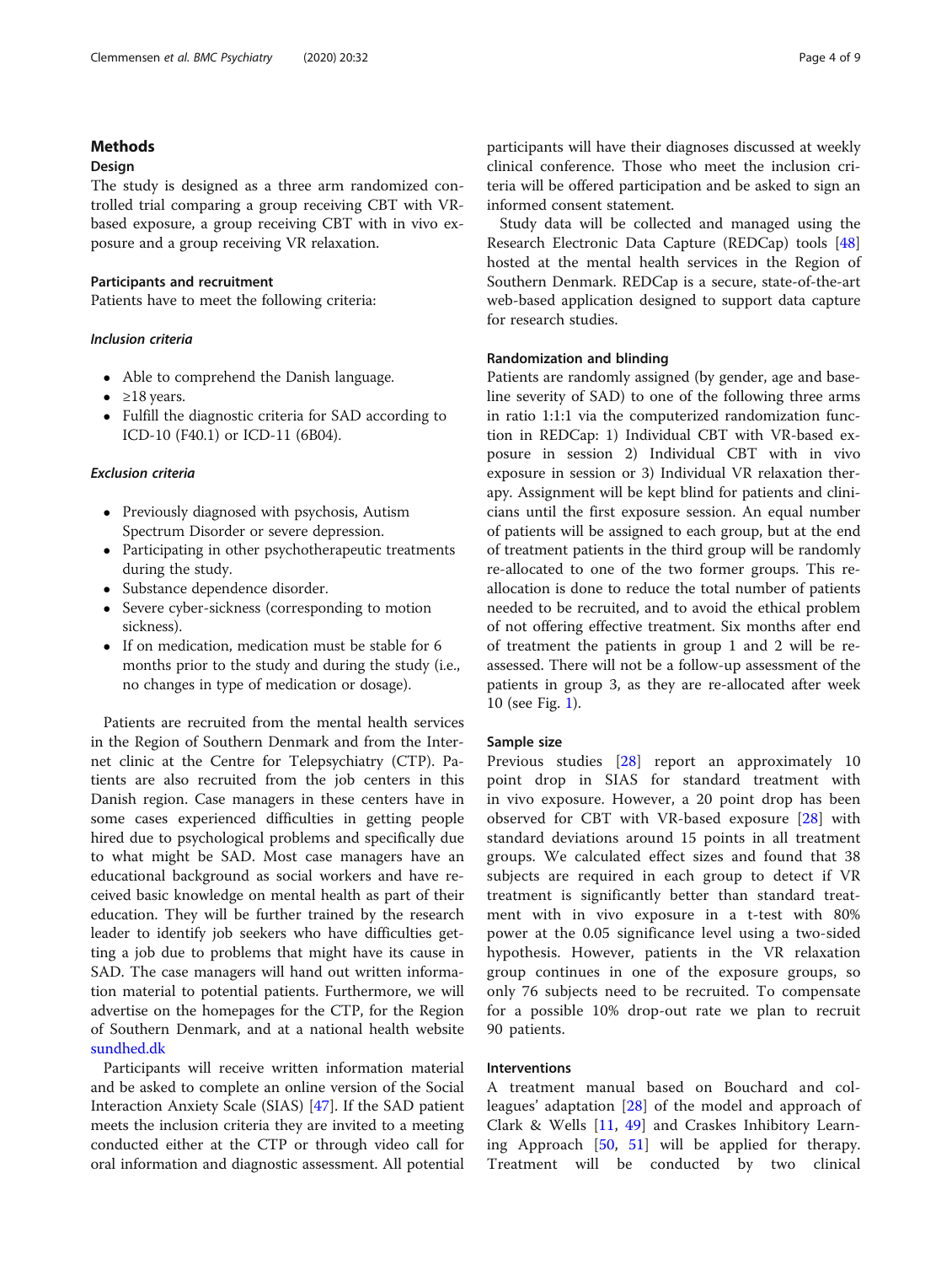# Methods

# Design

The study is designed as a three arm randomized controlled trial comparing a group receiving CBT with VRbased exposure, a group receiving CBT with in vivo exposure and a group receiving VR relaxation.

# Participants and recruitment

Patients have to meet the following criteria:

# Inclusion criteria

- Able to comprehend the Danish language.
- $\bullet$  ≥18 years.
- Fulfill the diagnostic criteria for SAD according to ICD-10 (F40.1) or ICD-11 (6B04).

# Exclusion criteria

- Previously diagnosed with psychosis, Autism Spectrum Disorder or severe depression.
- Participating in other psychotherapeutic treatments during the study.
- Substance dependence disorder.
- Severe cyber-sickness (corresponding to motion sickness).
- If on medication, medication must be stable for 6 months prior to the study and during the study (i.e., no changes in type of medication or dosage).

Patients are recruited from the mental health services in the Region of Southern Denmark and from the Internet clinic at the Centre for Telepsychiatry (CTP). Patients are also recruited from the job centers in this Danish region. Case managers in these centers have in some cases experienced difficulties in getting people hired due to psychological problems and specifically due to what might be SAD. Most case managers have an educational background as social workers and have received basic knowledge on mental health as part of their education. They will be further trained by the research leader to identify job seekers who have difficulties getting a job due to problems that might have its cause in SAD. The case managers will hand out written information material to potential patients. Furthermore, we will advertise on the homepages for the CTP, for the Region of Southern Denmark, and at a national health website [sundhed.dk](http://sundhed.dk)

Participants will receive written information material and be asked to complete an online version of the Social Interaction Anxiety Scale (SIAS) [\[47](#page-8-0)]. If the SAD patient meets the inclusion criteria they are invited to a meeting conducted either at the CTP or through video call for oral information and diagnostic assessment. All potential participants will have their diagnoses discussed at weekly clinical conference. Those who meet the inclusion criteria will be offered participation and be asked to sign an informed consent statement.

Study data will be collected and managed using the Research Electronic Data Capture (REDCap) tools [[48](#page-8-0)] hosted at the mental health services in the Region of Southern Denmark. REDCap is a secure, state-of-the-art web-based application designed to support data capture for research studies.

# Randomization and blinding

Patients are randomly assigned (by gender, age and baseline severity of SAD) to one of the following three arms in ratio 1:1:1 via the computerized randomization function in REDCap: 1) Individual CBT with VR-based exposure in session 2) Individual CBT with in vivo exposure in session or 3) Individual VR relaxation therapy. Assignment will be kept blind for patients and clinicians until the first exposure session. An equal number of patients will be assigned to each group, but at the end of treatment patients in the third group will be randomly re-allocated to one of the two former groups. This reallocation is done to reduce the total number of patients needed to be recruited, and to avoid the ethical problem of not offering effective treatment. Six months after end of treatment the patients in group 1 and 2 will be reassessed. There will not be a follow-up assessment of the patients in group 3, as they are re-allocated after week 10 (see Fig. [1\)](#page-4-0).

## Sample size

Previous studies [\[28](#page-7-0)] report an approximately 10 point drop in SIAS for standard treatment with in vivo exposure. However, a 20 point drop has been observed for CBT with VR-based exposure [\[28](#page-7-0)] with standard deviations around 15 points in all treatment groups. We calculated effect sizes and found that 38 subjects are required in each group to detect if VR treatment is significantly better than standard treatment with in vivo exposure in a t-test with 80% power at the 0.05 significance level using a two-sided hypothesis. However, patients in the VR relaxation group continues in one of the exposure groups, so only 76 subjects need to be recruited. To compensate for a possible 10% drop-out rate we plan to recruit 90 patients.

## Interventions

A treatment manual based on Bouchard and colleagues' adaptation [\[28](#page-7-0)] of the model and approach of Clark & Wells [[11,](#page-7-0) [49](#page-8-0)] and Craskes Inhibitory Learning Approach [[50,](#page-8-0) [51](#page-8-0)] will be applied for therapy. Treatment will be conducted by two clinical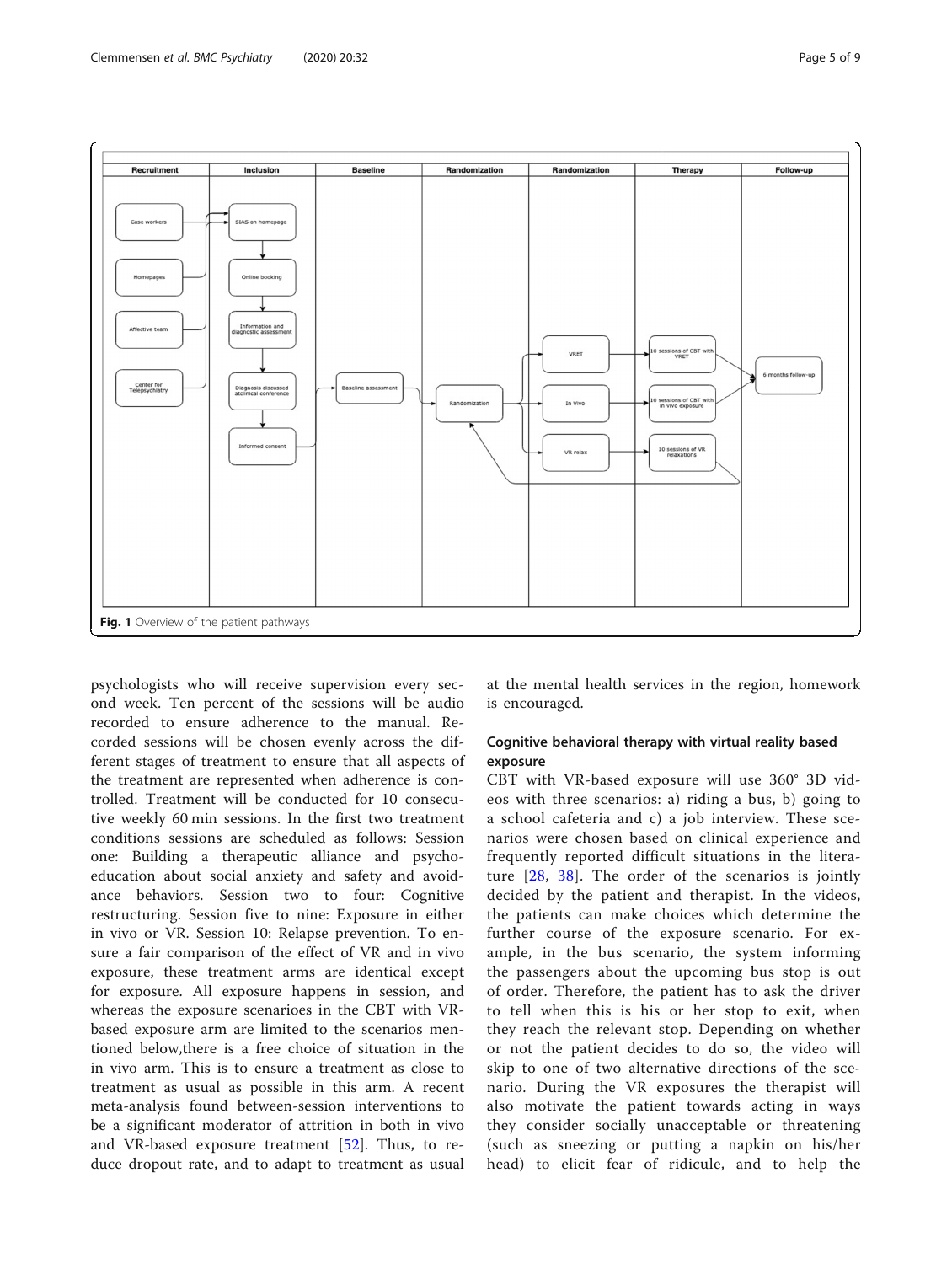<span id="page-4-0"></span>

psychologists who will receive supervision every second week. Ten percent of the sessions will be audio recorded to ensure adherence to the manual. Recorded sessions will be chosen evenly across the different stages of treatment to ensure that all aspects of the treatment are represented when adherence is controlled. Treatment will be conducted for 10 consecutive weekly 60 min sessions. In the first two treatment conditions sessions are scheduled as follows: Session one: Building a therapeutic alliance and psychoeducation about social anxiety and safety and avoidance behaviors. Session two to four: Cognitive restructuring. Session five to nine: Exposure in either in vivo or VR. Session 10: Relapse prevention. To ensure a fair comparison of the effect of VR and in vivo exposure, these treatment arms are identical except for exposure. All exposure happens in session, and whereas the exposure scenarioes in the CBT with VRbased exposure arm are limited to the scenarios mentioned below,there is a free choice of situation in the in vivo arm. This is to ensure a treatment as close to treatment as usual as possible in this arm. A recent meta-analysis found between-session interventions to be a significant moderator of attrition in both in vivo and VR-based exposure treatment  $[52]$  $[52]$  $[52]$ . Thus, to reduce dropout rate, and to adapt to treatment as usual

at the mental health services in the region, homework is encouraged.

# Cognitive behavioral therapy with virtual reality based exposure

CBT with VR-based exposure will use 360° 3D videos with three scenarios: a) riding a bus, b) going to a school cafeteria and c) a job interview. These scenarios were chosen based on clinical experience and frequently reported difficult situations in the literature [[28](#page-7-0), [38](#page-8-0)]. The order of the scenarios is jointly decided by the patient and therapist. In the videos, the patients can make choices which determine the further course of the exposure scenario. For example, in the bus scenario, the system informing the passengers about the upcoming bus stop is out of order. Therefore, the patient has to ask the driver to tell when this is his or her stop to exit, when they reach the relevant stop. Depending on whether or not the patient decides to do so, the video will skip to one of two alternative directions of the scenario. During the VR exposures the therapist will also motivate the patient towards acting in ways they consider socially unacceptable or threatening (such as sneezing or putting a napkin on his/her head) to elicit fear of ridicule, and to help the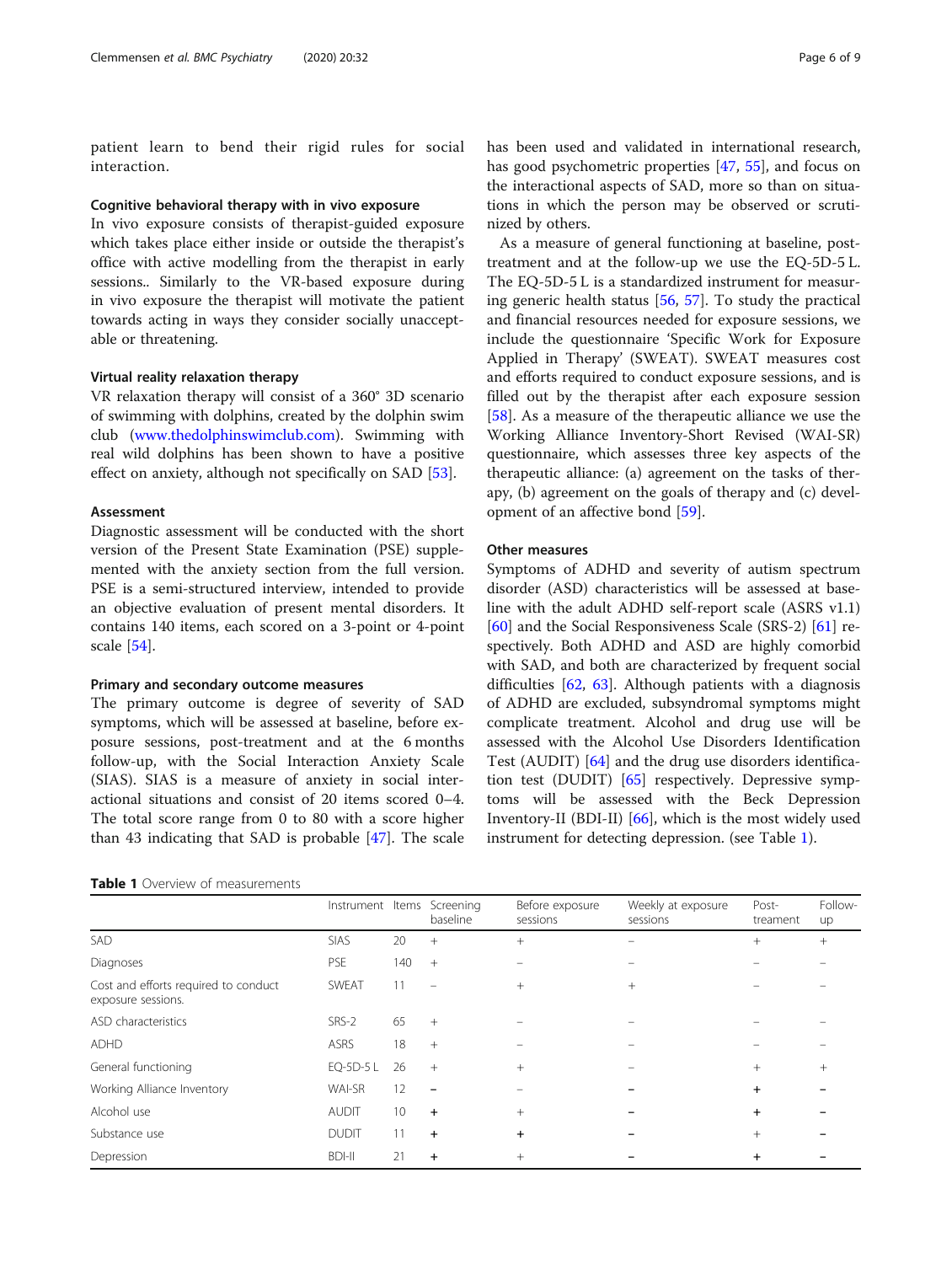patient learn to bend their rigid rules for social interaction.

#### Cognitive behavioral therapy with in vivo exposure

In vivo exposure consists of therapist-guided exposure which takes place either inside or outside the therapist's office with active modelling from the therapist in early sessions.. Similarly to the VR-based exposure during in vivo exposure the therapist will motivate the patient towards acting in ways they consider socially unacceptable or threatening.

# Virtual reality relaxation therapy

VR relaxation therapy will consist of a 360° 3D scenario of swimming with dolphins, created by the dolphin swim club [\(www.thedolphinswimclub.com\)](http://www.thedolphinswimclub.com). Swimming with real wild dolphins has been shown to have a positive effect on anxiety, although not specifically on SAD [[53](#page-8-0)].

# **Assessment**

Diagnostic assessment will be conducted with the short version of the Present State Examination (PSE) supplemented with the anxiety section from the full version. PSE is a semi-structured interview, intended to provide an objective evaluation of present mental disorders. It contains 140 items, each scored on a 3-point or 4-point scale [\[54](#page-8-0)].

# Primary and secondary outcome measures

The primary outcome is degree of severity of SAD symptoms, which will be assessed at baseline, before exposure sessions, post-treatment and at the 6 months follow-up, with the Social Interaction Anxiety Scale (SIAS). SIAS is a measure of anxiety in social interactional situations and consist of 20 items scored 0–4. The total score range from 0 to 80 with a score higher than 43 indicating that SAD is probable [\[47\]](#page-8-0). The scale

| <b>Table 1</b> Overview of measurements |
|-----------------------------------------|
|-----------------------------------------|

has been used and validated in international research, has good psychometric properties [[47,](#page-8-0) [55](#page-8-0)], and focus on the interactional aspects of SAD, more so than on situations in which the person may be observed or scrutinized by others.

As a measure of general functioning at baseline, posttreatment and at the follow-up we use the EQ-5D-5 L. The EQ-5D-5 L is a standardized instrument for measuring generic health status [[56,](#page-8-0) [57](#page-8-0)]. To study the practical and financial resources needed for exposure sessions, we include the questionnaire 'Specific Work for Exposure Applied in Therapy' (SWEAT). SWEAT measures cost and efforts required to conduct exposure sessions, and is filled out by the therapist after each exposure session [[58\]](#page-8-0). As a measure of the therapeutic alliance we use the Working Alliance Inventory-Short Revised (WAI-SR) questionnaire, which assesses three key aspects of the therapeutic alliance: (a) agreement on the tasks of therapy, (b) agreement on the goals of therapy and (c) development of an affective bond [\[59](#page-8-0)].

# Other measures

Symptoms of ADHD and severity of autism spectrum disorder (ASD) characteristics will be assessed at baseline with the adult ADHD self-report scale (ASRS v1.1) [[60\]](#page-8-0) and the Social Responsiveness Scale (SRS-2) [[61\]](#page-8-0) respectively. Both ADHD and ASD are highly comorbid with SAD, and both are characterized by frequent social difficulties [[62](#page-8-0), [63\]](#page-8-0). Although patients with a diagnosis of ADHD are excluded, subsyndromal symptoms might complicate treatment. Alcohol and drug use will be assessed with the Alcohol Use Disorders Identification Test (AUDIT) [\[64\]](#page-8-0) and the drug use disorders identification test (DUDIT) [[65](#page-8-0)] respectively. Depressive symptoms will be assessed with the Beck Depression Inventory-II (BDI-II) [\[66](#page-8-0)], which is the most widely used instrument for detecting depression. (see Table 1).

|                                                            | Instrument Items |     | Screening<br>baseline | Before exposure<br>sessions | Weekly at exposure<br>sessions | Post-<br>treament | Follow-<br>up |
|------------------------------------------------------------|------------------|-----|-----------------------|-----------------------------|--------------------------------|-------------------|---------------|
| SAD                                                        | <b>SIAS</b>      | 20  | $+$                   | $+$                         |                                | $^{+}$            | $+$           |
| Diagnoses                                                  | PSE              | 140 | $+$                   |                             |                                |                   |               |
| Cost and efforts required to conduct<br>exposure sessions. | SWEAT            | 11  | $\equiv$              | $^{+}$                      | $^{+}$                         |                   |               |
| ASD characteristics                                        | SRS-2            | 65  | $+$                   |                             |                                |                   |               |
| <b>ADHD</b>                                                | ASRS             | 18  | $+$                   |                             |                                |                   |               |
| General functioning                                        | EQ-5D-5L         | 26  | $+$                   | $^{+}$                      |                                | $^{+}$            | $^{+}$        |
| Working Alliance Inventory                                 | <b>WAI-SR</b>    | 12  |                       |                             |                                | $\ddot{}$         |               |
| Alcohol use                                                | <b>AUDIT</b>     | 10  | $+$                   | $+$                         |                                | $\ddot{}$         |               |
| Substance use                                              | <b>DUDIT</b>     | 11  | $+$                   | $+$                         |                                | $^{+}$            |               |
| Depression                                                 | <b>BDI-II</b>    | 21  | $+$                   | $+$                         |                                | $\ddot{}$         |               |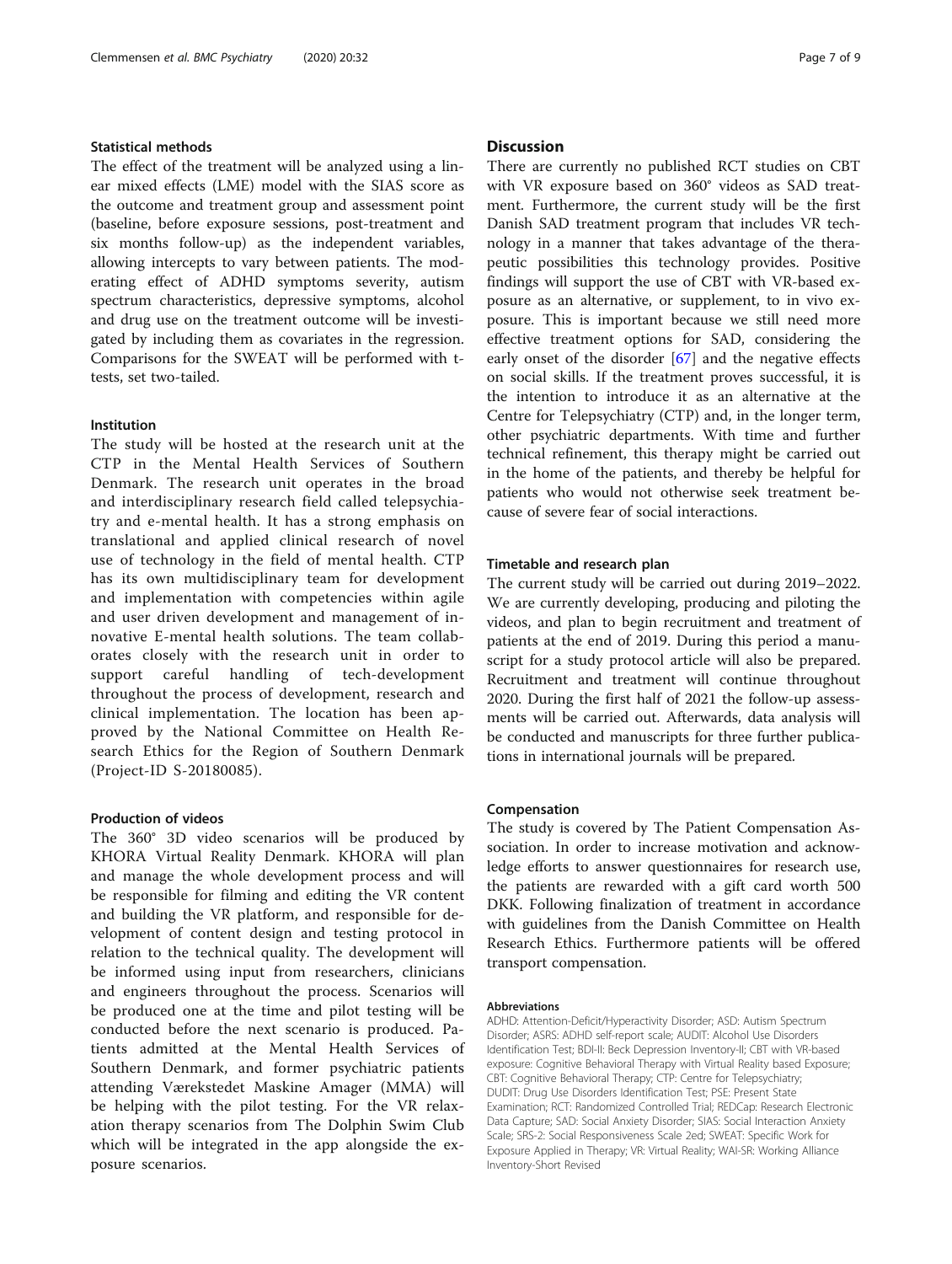# Statistical methods

The effect of the treatment will be analyzed using a linear mixed effects (LME) model with the SIAS score as the outcome and treatment group and assessment point (baseline, before exposure sessions, post-treatment and six months follow-up) as the independent variables, allowing intercepts to vary between patients. The moderating effect of ADHD symptoms severity, autism spectrum characteristics, depressive symptoms, alcohol and drug use on the treatment outcome will be investigated by including them as covariates in the regression. Comparisons for the SWEAT will be performed with ttests, set two-tailed.

# Institution

The study will be hosted at the research unit at the CTP in the Mental Health Services of Southern Denmark. The research unit operates in the broad and interdisciplinary research field called telepsychiatry and e-mental health. It has a strong emphasis on translational and applied clinical research of novel use of technology in the field of mental health. CTP has its own multidisciplinary team for development and implementation with competencies within agile and user driven development and management of innovative E-mental health solutions. The team collaborates closely with the research unit in order to support careful handling of tech-development throughout the process of development, research and clinical implementation. The location has been approved by the National Committee on Health Research Ethics for the Region of Southern Denmark (Project-ID S-20180085).

# Production of videos

The 360° 3D video scenarios will be produced by KHORA Virtual Reality Denmark. KHORA will plan and manage the whole development process and will be responsible for filming and editing the VR content and building the VR platform, and responsible for development of content design and testing protocol in relation to the technical quality. The development will be informed using input from researchers, clinicians and engineers throughout the process. Scenarios will be produced one at the time and pilot testing will be conducted before the next scenario is produced. Patients admitted at the Mental Health Services of Southern Denmark, and former psychiatric patients attending Værekstedet Maskine Amager (MMA) will be helping with the pilot testing. For the VR relaxation therapy scenarios from The Dolphin Swim Club which will be integrated in the app alongside the exposure scenarios.

# **Discussion**

There are currently no published RCT studies on CBT with VR exposure based on 360° videos as SAD treatment. Furthermore, the current study will be the first Danish SAD treatment program that includes VR technology in a manner that takes advantage of the therapeutic possibilities this technology provides. Positive findings will support the use of CBT with VR-based exposure as an alternative, or supplement, to in vivo exposure. This is important because we still need more effective treatment options for SAD, considering the early onset of the disorder [[67\]](#page-8-0) and the negative effects on social skills. If the treatment proves successful, it is the intention to introduce it as an alternative at the Centre for Telepsychiatry (CTP) and, in the longer term, other psychiatric departments. With time and further technical refinement, this therapy might be carried out in the home of the patients, and thereby be helpful for patients who would not otherwise seek treatment because of severe fear of social interactions.

# Timetable and research plan

The current study will be carried out during 2019–2022. We are currently developing, producing and piloting the videos, and plan to begin recruitment and treatment of patients at the end of 2019. During this period a manuscript for a study protocol article will also be prepared. Recruitment and treatment will continue throughout 2020. During the first half of 2021 the follow-up assessments will be carried out. Afterwards, data analysis will be conducted and manuscripts for three further publications in international journals will be prepared.

# Compensation

The study is covered by The Patient Compensation Association. In order to increase motivation and acknowledge efforts to answer questionnaires for research use, the patients are rewarded with a gift card worth 500 DKK. Following finalization of treatment in accordance with guidelines from the Danish Committee on Health Research Ethics. Furthermore patients will be offered transport compensation.

#### Abbreviations

ADHD: Attention-Deficit/Hyperactivity Disorder; ASD: Autism Spectrum Disorder; ASRS: ADHD self-report scale; AUDIT: Alcohol Use Disorders Identification Test; BDI-II: Beck Depression Inventory-II; CBT with VR-based exposure: Cognitive Behavioral Therapy with Virtual Reality based Exposure; CBT: Cognitive Behavioral Therapy; CTP: Centre for Telepsychiatry; DUDIT: Drug Use Disorders Identification Test; PSE: Present State Examination; RCT: Randomized Controlled Trial; REDCap: Research Electronic Data Capture; SAD: Social Anxiety Disorder; SIAS: Social Interaction Anxiety Scale; SRS-2: Social Responsiveness Scale 2ed; SWEAT: Specific Work for Exposure Applied in Therapy; VR: Virtual Reality; WAI-SR: Working Alliance Inventory-Short Revised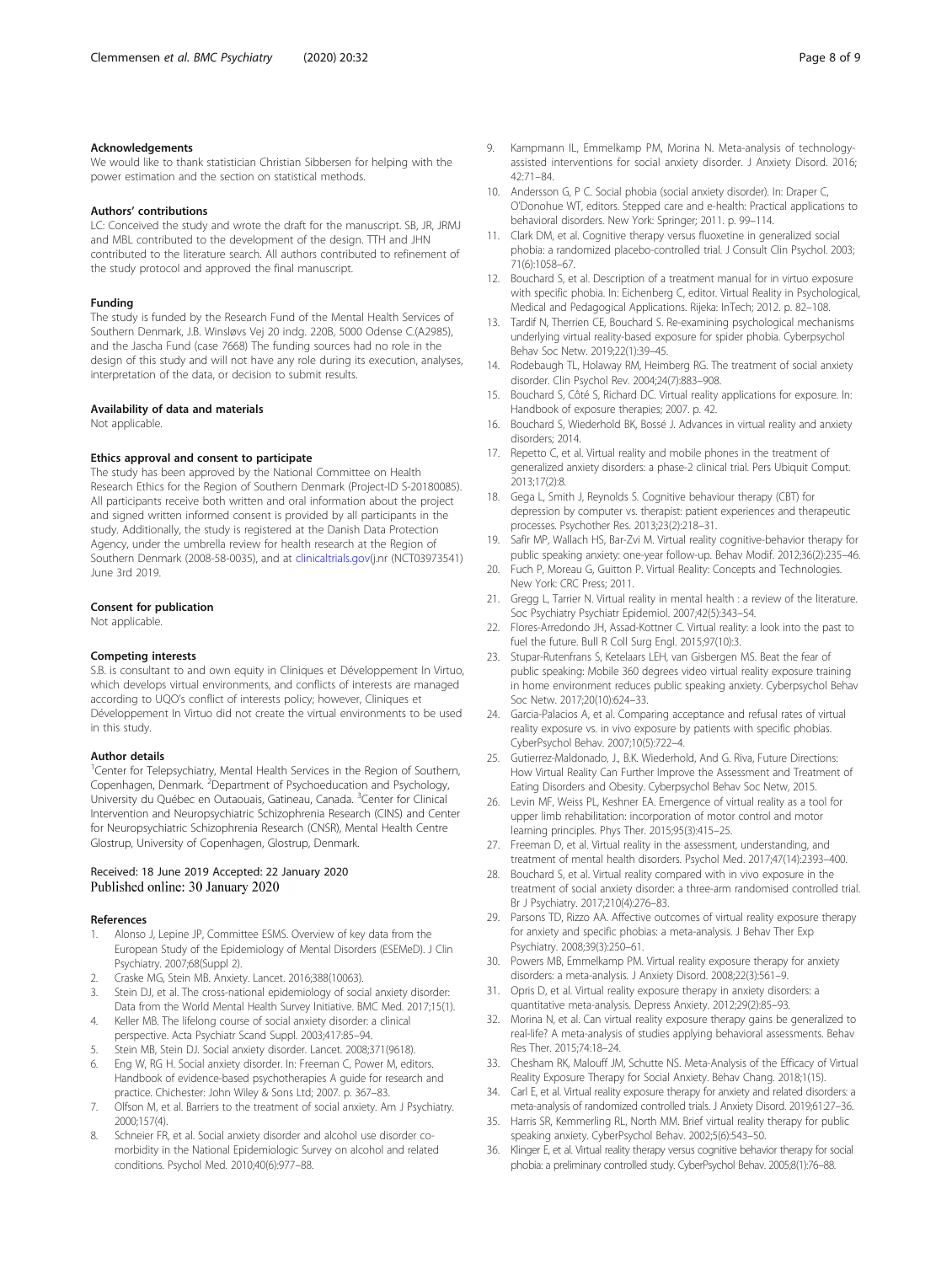# <span id="page-7-0"></span>Acknowledgements

We would like to thank statistician Christian Sibbersen for helping with the power estimation and the section on statistical methods.

# Authors' contributions

LC: Conceived the study and wrote the draft for the manuscript. SB, JR, JRMJ and MBL contributed to the development of the design. TTH and JHN contributed to the literature search. All authors contributed to refinement of the study protocol and approved the final manuscript.

#### Funding

The study is funded by the Research Fund of the Mental Health Services of Southern Denmark, J.B. Winsløvs Vej 20 indg. 220B, 5000 Odense C.(A2985), and the Jascha Fund (case 7668) The funding sources had no role in the design of this study and will not have any role during its execution, analyses, interpretation of the data, or decision to submit results.

#### Availability of data and materials

Not applicable.

### Ethics approval and consent to participate

The study has been approved by the National Committee on Health Research Ethics for the Region of Southern Denmark (Project-ID S-20180085). All participants receive both written and oral information about the project and signed written informed consent is provided by all participants in the study. Additionally, the study is registered at the Danish Data Protection Agency, under the umbrella review for health research at the Region of Southern Denmark (2008-58-0035), and at [clinicaltrials.gov\(](http://clinicaltrials.gov)j.nr (NCT03973541) June 3rd 2019.

#### Consent for publication

Not applicable.

#### Competing interests

S.B. is consultant to and own equity in Cliniques et Développement In Virtuo, which develops virtual environments, and conflicts of interests are managed according to UQO's conflict of interests policy; however, Cliniques et Développement In Virtuo did not create the virtual environments to be used in this study.

### Author details

<sup>1</sup>Center for Telepsychiatry, Mental Health Services in the Region of Southern, Copenhagen, Denmark. <sup>2</sup> Department of Psychoeducation and Psychology, University du Québec en Outaouais, Gatineau, Canada. <sup>3</sup>Center for Clinical Intervention and Neuropsychiatric Schizophrenia Research (CINS) and Center for Neuropsychiatric Schizophrenia Research (CNSR), Mental Health Centre Glostrup, University of Copenhagen, Glostrup, Denmark.

# Received: 18 June 2019 Accepted: 22 January 2020 Published online: 30 January 2020

#### References

- Alonso J, Lepine JP, Committee ESMS. Overview of key data from the European Study of the Epidemiology of Mental Disorders (ESEMeD). J Clin Psychiatry. 2007;68(Suppl 2).
- 2. Craske MG, Stein MB. Anxiety. Lancet. 2016;388(10063).
- 3. Stein DJ, et al. The cross-national epidemiology of social anxiety disorder: Data from the World Mental Health Survey Initiative. BMC Med. 2017;15(1).
- 4. Keller MB. The lifelong course of social anxiety disorder: a clinical perspective. Acta Psychiatr Scand Suppl. 2003;417:85–94.
- 5. Stein MB, Stein DJ. Social anxiety disorder. Lancet. 2008;371(9618).
- 6. Eng W, RG H. Social anxiety disorder. In: Freeman C, Power M, editors. Handbook of evidence-based psychotherapies A guide for research and practice. Chichester: John Wiley & Sons Ltd; 2007. p. 367–83.
- 7. Olfson M, et al. Barriers to the treatment of social anxiety. Am J Psychiatry. 2000;157(4).
- Schneier FR, et al. Social anxiety disorder and alcohol use disorder comorbidity in the National Epidemiologic Survey on alcohol and related conditions. Psychol Med. 2010;40(6):977–88.
- Kampmann IL, Emmelkamp PM, Morina N. Meta-analysis of technologyassisted interventions for social anxiety disorder. J Anxiety Disord. 2016; 42:71–84.
- 10. Andersson G, P C. Social phobia (social anxiety disorder). In: Draper C, O'Donohue WT, editors. Stepped care and e-health: Practical applications to behavioral disorders. New York: Springer; 2011. p. 99–114.
- 11. Clark DM, et al. Cognitive therapy versus fluoxetine in generalized social phobia: a randomized placebo-controlled trial. J Consult Clin Psychol. 2003; 71(6):1058–67.
- 12. Bouchard S, et al. Description of a treatment manual for in virtuo exposure with specific phobia. In: Eichenberg C, editor. Virtual Reality in Psychological, Medical and Pedagogical Applications. Rijeka: InTech; 2012. p. 82–108.
- 13. Tardif N, Therrien CE, Bouchard S. Re-examining psychological mechanisms underlying virtual reality-based exposure for spider phobia. Cyberpsychol Behav Soc Netw. 2019;22(1):39–45.
- 14. Rodebaugh TL, Holaway RM, Heimberg RG. The treatment of social anxiety disorder. Clin Psychol Rev. 2004;24(7):883–908.
- 15. Bouchard S, Côté S, Richard DC. Virtual reality applications for exposure. In: Handbook of exposure therapies; 2007. p. 42.
- 16. Bouchard S, Wiederhold BK, Bossé J. Advances in virtual reality and anxiety disorders; 2014.
- 17. Repetto C, et al. Virtual reality and mobile phones in the treatment of generalized anxiety disorders: a phase-2 clinical trial. Pers Ubiquit Comput. 2013;17(2):8.
- 18. Gega L, Smith J, Reynolds S. Cognitive behaviour therapy (CBT) for depression by computer vs. therapist: patient experiences and therapeutic processes. Psychother Res. 2013;23(2):218–31.
- 19. Safir MP, Wallach HS, Bar-Zvi M. Virtual reality cognitive-behavior therapy for public speaking anxiety: one-year follow-up. Behav Modif. 2012;36(2):235–46.
- 20. Fuch P, Moreau G, Guitton P. Virtual Reality: Concepts and Technologies. New York: CRC Press; 2011.
- 21. Gregg L, Tarrier N. Virtual reality in mental health : a review of the literature. Soc Psychiatry Psychiatr Epidemiol. 2007;42(5):343–54.
- 22. Flores-Arredondo JH, Assad-Kottner C. Virtual reality: a look into the past to fuel the future. Bull R Coll Surg Engl. 2015;97(10):3.
- 23. Stupar-Rutenfrans S, Ketelaars LEH, van Gisbergen MS. Beat the fear of public speaking: Mobile 360 degrees video virtual reality exposure training in home environment reduces public speaking anxiety. Cyberpsychol Behav Soc Netw. 2017;20(10):624–33.
- 24. Garcia-Palacios A, et al. Comparing acceptance and refusal rates of virtual reality exposure vs. in vivo exposure by patients with specific phobias. CyberPsychol Behav. 2007;10(5):722–4.
- 25. Gutierrez-Maldonado, J., B.K. Wiederhold, And G. Riva, Future Directions: How Virtual Reality Can Further Improve the Assessment and Treatment of Eating Disorders and Obesity. Cyberpsychol Behav Soc Netw, 2015.
- 26. Levin MF, Weiss PL, Keshner EA. Emergence of virtual reality as a tool for upper limb rehabilitation: incorporation of motor control and motor learning principles. Phys Ther. 2015;95(3):415–25.
- 27. Freeman D, et al. Virtual reality in the assessment, understanding, and treatment of mental health disorders. Psychol Med. 2017;47(14):2393–400.
- 28. Bouchard S, et al. Virtual reality compared with in vivo exposure in the treatment of social anxiety disorder: a three-arm randomised controlled trial. Br J Psychiatry. 2017;210(4):276–83.
- 29. Parsons TD, Rizzo AA. Affective outcomes of virtual reality exposure therapy for anxiety and specific phobias: a meta-analysis. J Behav Ther Exp Psychiatry. 2008;39(3):250–61.
- 30. Powers MB, Emmelkamp PM. Virtual reality exposure therapy for anxiety disorders: a meta-analysis. J Anxiety Disord. 2008;22(3):561–9.
- 31. Opris D, et al. Virtual reality exposure therapy in anxiety disorders: a quantitative meta-analysis. Depress Anxiety. 2012;29(2):85–93.
- 32. Morina N, et al. Can virtual reality exposure therapy gains be generalized to real-life? A meta-analysis of studies applying behavioral assessments. Behav Res Ther. 2015;74:18–24.
- 33. Chesham RK, Malouff JM, Schutte NS. Meta-Analysis of the Efficacy of Virtual Reality Exposure Therapy for Social Anxiety. Behav Chang. 2018;1(15).
- 34. Carl E, et al. Virtual reality exposure therapy for anxiety and related disorders: a meta-analysis of randomized controlled trials. J Anxiety Disord. 2019;61:27–36.
- 35. Harris SR, Kemmerling RL, North MM. Brief virtual reality therapy for public speaking anxiety. CyberPsychol Behav. 2002;5(6):543–50.
- 36. Klinger E, et al. Virtual reality therapy versus cognitive behavior therapy for social phobia: a preliminary controlled study. CyberPsychol Behav. 2005;8(1):76–88.